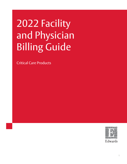# 2022 Facility and Physician Billing Guide

Critical Care Products

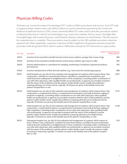#### Physician Billing Codes

Clinicians use Current Procedural Terminology (CPT<sup>1</sup>) codes to bill for procedures and services. Each CPT code is assigned unique relative value units (RVUs), which are used to determine payment by the Centers for Medicare & Medicaid Services (CMS). Some commonly billed CPT codes used to describe procedures related to Edwards Lifesciences' Critical Care technologies (e.g., Swan-Ganz catheter, FloTrac sensor, ForeSight Elite, ClearSight finger cuff, Acumen IQ sensor, and PediaSat oximetry catheters) are listed below. <sup>2</sup> This list may not be comprehensive or complete. These procedures may be subject to the CMS multiple procedure reduction payment rule. When applicable, a payment reduction of 50% is applied to all payment amounts except the procedure with the greatest RVUs, which is paid at 100% unless exempt by CPT instructions or payer policy.

| <b>CPT Code</b> | <b>Medicare National Physician</b><br><b>Description</b>                                                                                                                                                                                                                                                                                                                                                                                                                                                                                                                                                                                                                              | Facility Payment <sup>3</sup> |
|-----------------|---------------------------------------------------------------------------------------------------------------------------------------------------------------------------------------------------------------------------------------------------------------------------------------------------------------------------------------------------------------------------------------------------------------------------------------------------------------------------------------------------------------------------------------------------------------------------------------------------------------------------------------------------------------------------------------|-------------------------------|
| 36555           | Insertion of non-tunneled centrally inserted central venous catheter; younger than 5 years of age.                                                                                                                                                                                                                                                                                                                                                                                                                                                                                                                                                                                    | \$86                          |
| 36556           | Insertion of non-tunneled centrally inserted central venous catheter; age 5 years or older.                                                                                                                                                                                                                                                                                                                                                                                                                                                                                                                                                                                           | \$85                          |
| 36620           | Arterial catheterization or cannulation for sampling, monitoring or transfusion (separate procedure);<br>percutaneous.                                                                                                                                                                                                                                                                                                                                                                                                                                                                                                                                                                | \$45                          |
| 93503           | Insertion and placement of flow directed catheter (e.g., Swan-Ganz) for monitoring purposes.                                                                                                                                                                                                                                                                                                                                                                                                                                                                                                                                                                                          | \$89                          |
| 99221           | Initial hospital care, per day, for the evaluation and management of a patient, which requires these 3 key<br>components: a detailed or comprehensive history; a detailed or comprehensive examination; and<br>medical decision making that is straightforward or of low complexity. Counseling and/or coordination of<br>care with other physicians, other qualified health care professionals, or agencies are provided consistent<br>with the nature of the problem(s) and the patient's and/or family's needs. Usually, the problem(s)<br>requiring admission are of low severity. Typically, 30 minutes are spent at the bedside and on the<br>patient's hospital floor or unit. | \$101                         |
| 99222           | Initial hospital care, per day, for the evaluation and management of a patient, which requires these 3 key<br>components: a comprehensive history; a comprehensive examination; and medical decision making of<br>moderate complexity. Counseling and/or coordination of care with other physicians, other qualified<br>health care professionals, or agencies are provided consistent with the nature of the problem(s) and the<br>patient's and/or family's needs. Usually, the problem(s) requiring admission are of moderate severity.<br>Typically, 50 minutes are spent at the bedside and on the patient's hospital floor or unit.                                             | \$135                         |
| 99223           | Initial hospital care, per day, for the evaluation and management of a patient, which requires these 3 key<br>components: a comprehensive history; a comprehensive examination; and medical decision making of<br>high complexity. Counseling and/or coordination of care with other physicians, other qualified health<br>care professionals, or agencies are provided consistent with the nature of the problem(s) and the<br>patient's and/or family's needs. Usually, the problem(s) requiring admission are of high severity.<br>Typically, 70 minutes are spent at the bedside and on the patient's hospital floor or unit.                                                     | \$198                         |
| 99231           | Subsequent hospital care, per day, for the evaluation and management of a patient, which requires at<br>least 2 of these 3 key components: a problem focused interval history; a problem focused examination;<br>medical decision making that is straightforward or of low complexity. Counseling and/or coordination of<br>care with other physicians, other qualified health care professionals, or agencies are provided consistent<br>with the nature of the problem(s) and the patient's and/or family's needs. Usually, the patient is stable,<br>recovering or improving. Typically, 15 minutes are spent at the bedside and on the patient's hospital<br>floor or unit.       | \$39                          |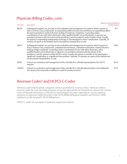#### Physician Billing Codes, cont.

| <b>CPT Code</b> | <b>Medicare National Physician</b><br><b>Description</b>                                                                                                                                                                                                                                                                                                                                                                                                                                                                                                                                                                                                                                                               | Facility Payment <sup>3</sup> |
|-----------------|------------------------------------------------------------------------------------------------------------------------------------------------------------------------------------------------------------------------------------------------------------------------------------------------------------------------------------------------------------------------------------------------------------------------------------------------------------------------------------------------------------------------------------------------------------------------------------------------------------------------------------------------------------------------------------------------------------------------|-------------------------------|
| 99232           | Subsequent hospital care, per day, for the evaluation and management of a patient, which requires at<br>least 2 of these 3 key components: an expanded problem focused interval history; an expanded problem<br>focused examination; medical decision making of moderate complexity. Counseling and/or<br>coordination of care with other physicians, other qualified health care professionals, or agencies are<br>provided consistent with the nature of the problem(s) and the patient's and/or family's needs. Usually,<br>the patient is responding inadequately to therapy or has developed a minor complication. Typically, 25<br>minutes are spent at the bedside and on the patient's hospital floor or unit. | \$71                          |
| 99233           | Subsequent hospital care, per day, for the evaluation and management of a patient, which requires at<br>least 2 of these 3 key components: a detailed interval history; a detailed examination; medical decision<br>making of high complexity. Counseling and/or coordination of care with other physicians, other<br>qualified health care professionals, or agencies are provided consistent with the nature of the<br>problem(s) and the patient's and/or family's needs. Usually, the patient is unstable or has developed a<br>significant complication or a significant new problem. Typically, 35 minutes are spent at the bedside and<br>on the patient's hospital floor or unit.                              | \$102                         |
| 99291           | Critical care evaluation and management of the critically ill or critically injured patient, first 30-74<br>minutes.                                                                                                                                                                                                                                                                                                                                                                                                                                                                                                                                                                                                   | \$219                         |
| +99292          | Critical care evaluation and management of the critically ill or critically injured patient, each additional<br>30 minutes (List separately in addition to code for primary service) <sup>4</sup> .                                                                                                                                                                                                                                                                                                                                                                                                                                                                                                                    | \$110                         |

#### Revenue Codes<sup>5</sup> and HCPCS C-Codes

Revenue codes help hospitals categorize services provided by revenue center. Medicare utilizes revenue codes for cost reporting purposes. It may be appropriate for hospitals to capture the cost for some of Edwards Lifesciences' Critical Care technologies for payer reporting or cost accounting purposes as expenses within Revenue Code 0278 (Medical/Surgical Supplies and Devices–Other Implants) on the hospital's UB-04 billing form.

HCPCS C-codes do not apply to inpatient surgical procedures.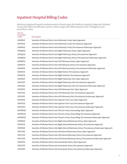Medicare inpatient hospital reimbursement is based upon the Medicare Severity Diagnostic-Related Group (MS-DRG) classification system, which assigns MS-DRGs based on ICD-10 diagnosis and procedure codes.

| <b>ICD-10</b><br>Procedure<br>Code <sup>6</sup> | Description                                                                                       |
|-------------------------------------------------|---------------------------------------------------------------------------------------------------|
| 02HP03Z                                         | Insertion of Infusion Device into Pulmonary Trunk, Open Approach                                  |
| 02HP33Z                                         | Insertion of Infusion Device into Pulmonary Trunk, Percutaneous Approach                          |
| 02HP43Z                                         | Insertion of Infusion Device into Pulmonary Trunk, Percutaneous Endoscopic Approach               |
| 02HQ03Z                                         | Insertion of Infusion Device into Right Pulmonary Artery, Open Approach                           |
| 02HQ33Z                                         | Insertion of Infusion Device into Right Pulmonary Artery, Percutaneous Approach                   |
| 02HQ43Z                                         | Insertion of Infusion Device into Right Pulmonary Artery, Percutaneous Endoscopic Approach        |
| 02HR03Z                                         | Insertion of Infusion Device into Left Pulmonary Artery, Open Approach                            |
| 02HR33Z                                         | Insertion of Infusion Device into Left Pulmonary Artery, Percutaneous Approach                    |
| 02HR43Z                                         | Insertion of Infusion Device into Left Pulmonary Artery, Percutaneous Endoscopic Approach         |
| 02H633Z                                         | Insertion of Infusion Device into Right Atrium, Percutaneous Approach                             |
| 02HK33Z                                         | Insertion of Infusion Device into Right Ventricle, Percutaneous Approach                          |
| 02HS03Z                                         | Insertion of Infusion Device into Right Pulmonary Vein, Open Approach                             |
| 02HS33Z                                         | Insertion of Infusion Device into Right Pulmonary Vein, Percutaneous Approach                     |
| 02HS43Z                                         | Insertion of Infusion Device into Right Pulmonary Vein, Percutaneous Endoscopic Approach          |
| 02HT03Z                                         | Insertion of Infusion Device into Left Pulmonary Vein, Open Approach                              |
| 02HT33Z                                         | Insertion of Infusion Device into Left Pulmonary Vein, Percutaneous Approach                      |
| 02HT43Z                                         | Insertion of Infusion Device into Left Pulmonary Vein, Percutaneous Endoscopic Approach           |
| 02HV03Z                                         | Insertion of Infusion Device into Superior Vena Cava, Open Approach                               |
| 02HV33Z                                         | Insertion of Infusion Device into Superior Vena Cava, Percutaneous Approach                       |
| 02HV43Z                                         | Insertion of Infusion Device into Superior Vena Cava, Percutaneous Endoscopic Approach            |
| 02HW03Z                                         | Insertion of Infusion Device into Thoracic Aorta, Descending, Open Approach                       |
| 02HW33Z                                         | Insertion of Infusion Device into Thoracic Aorta, Descending, Percutaneous Approach               |
| 02HW43Z                                         | Insertion of Infusion Device into Thoracic Aorta, Descending, Percutaneous Endoscopic Approach    |
| 03H003Z                                         | Insertion of Infusion Device into Right Internal Mammary Artery, Open Approach                    |
| 03H033Z                                         | Insertion of Infusion Device into Right Internal Mammary Artery, Percutaneous Approach            |
| 03H043Z                                         | Insertion of Infusion Device into Right Internal Mammary Artery, Percutaneous Endoscopic Approach |
| 03H103Z                                         | Insertion of Infusion Device into Left Internal Mammary Artery, Open Approach                     |
| 03H133Z                                         | Insertion of Infusion Device into Left Internal Mammary Artery, Percutaneous Approach             |
| 03H143Z                                         | Insertion of Infusion Device into Left Internal Mammary Artery, Percutaneous Endoscopic Approach  |
| 03H203Z                                         | Insertion of Infusion Device into Innominate Artery, Open Approach                                |
| 03H233Z                                         | Insertion of Infusion Device into Innominate Artery, Percutaneous Approach                        |
| 03H243Z                                         | Insertion of Infusion Device into Innominate Artery, Percutaneous Endoscopic Approach             |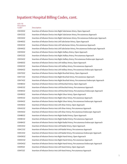| Procedure<br>Code <sup>5</sup> | Description                                                                                 |
|--------------------------------|---------------------------------------------------------------------------------------------|
| 03H303Z                        | Insertion of Infusion Device into Right Subclavian Artery, Open Approach                    |
| 03H333Z                        | Insertion of Infusion Device into Right Subclavian Artery, Percutaneous Approach            |
| 03H343Z                        | Insertion of Infusion Device into Right Subclavian Artery, Percutaneous Endoscopic Approach |
| 03H403Z                        | Insertion of Infusion Device into Left Subclavian Artery, Open Approach                     |
| 03H433Z                        | Insertion of Infusion Device into Left Subclavian Artery, Percutaneous Approach             |
| 03H443Z                        | Insertion of Infusion Device into Left Subclavian Artery, Percutaneous Endoscopic Approach  |
| 03H503Z                        | Insertion of Infusion Device into Right Axillary Artery, Open Approach                      |
| 03H533Z                        | Insertion of Infusion Device into Right Axillary Artery, Percutaneous Approach              |
| 03H543Z                        | Insertion of Infusion Device into Right Axillary Artery, Percutaneous Endoscopic Approach   |
| 03H603Z                        | Insertion of Infusion Device into Left Axillary Artery, Open Approach                       |
| 03H633Z                        | Insertion of Infusion Device into Left Axillary Artery, Percutaneous Approach               |
| 03H643Z                        | Insertion of Infusion Device into Left Axillary Artery, Percutaneous Endoscopic Approach    |
| 03H703Z                        | Insertion of Infusion Device into Right Brachial Artery, Open Approach                      |
| 03H733Z                        | Insertion of Infusion Device into Right Brachial Artery, Percutaneous Approach              |
| 03H743Z                        | Insertion of Infusion Device into Right Brachial Artery, Percutaneous Endoscopic Approach   |
| 03H803Z                        | Insertion of Infusion Device into Left Brachial Artery, Open Approach                       |
| 03H833Z                        | Insertion of Infusion Device into Left Brachial Artery, Percutaneous Approach               |
| 03H843Z                        | Insertion of Infusion Device into Left Brachial Artery, Percutaneous Endoscopic Approach    |
| 03H903Z                        | Insertion of Infusion Device into Right Ulnar Artery, Open Approach                         |
| 03H933Z                        | Insertion of Infusion Device into Right Ulnar Artery, Percutaneous Approach                 |
| 03H943Z                        | Insertion of Infusion Device into Right Ulnar Artery, Percutaneous Endoscopic Approach      |
| 03HA03Z                        | Insertion of Infusion Device into Left Ulnar Artery, Open Approach                          |
| 03HA33Z                        | Insertion of Infusion Device into Left Ulnar Artery, Percutaneous Approach                  |
| 03HA43Z                        | Insertion of Infusion Device into Left Ulnar Artery, Percutaneous Endoscopic Approach       |
| 03HB03Z                        | Insertion of Infusion Device into Right Radial Artery, Open Approach                        |
| 03HB33Z                        | Insertion of Infusion Device into Right Radial Artery, Percutaneous Approach                |
| 03HB43Z                        | Insertion of Infusion Device into Right Radial Artery, Percutaneous Endoscopic Approach     |
| 03HC03Z                        | Insertion of Infusion Device into Left Radial Artery, Open Approach                         |
| 03HC33Z                        | Insertion of Infusion Device into Left Radial Artery, Percutaneous Approach                 |
| 03HC43Z                        | Insertion of Infusion Device into Left Radial Artery, Percutaneous Endoscopic Approach      |
| 03HD03Z                        | Insertion of Infusion Device into Right Hand Artery, Open Approach                          |
| 03HD33Z                        | Insertion of Infusion Device into Right Hand Artery, Percutaneous Approach                  |
| 03HD43Z                        | Insertion of Infusion Device into Right Hand Artery, Percutaneous Endoscopic Approach       |
| 03HF03Z                        | Insertion of Infusion Device into Left Hand Artery, Open Approach                           |
| 03HF33Z                        | Insertion of Infusion Device into Left Hand Artery, Percutaneous Approach                   |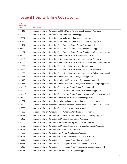| Procedure<br>Code <sup>5</sup> | Description                                                                                       |
|--------------------------------|---------------------------------------------------------------------------------------------------|
| 03HF43Z                        | Insertion of Infusion Device into Left Hand Artery, Percutaneous Endoscopic Approach              |
| 03HG03Z                        | Insertion of Infusion Device into Intracranial Artery, Open Approach                              |
| 03HG33Z                        | Insertion of Infusion Device into Intracranial Artery, Percutaneous Approach                      |
| 03HG43Z                        | Insertion of Infusion Device into Intracranial Artery, Percutaneous Endoscopic Approach           |
| 03HH03Z                        | Insertion of Infusion Device into Right Common Carotid Artery, Open Approach                      |
| 03HH33Z                        | Insertion of Infusion Device into Right Common Carotid Artery, Percutaneous Approach              |
| 03HH43Z                        | Insertion of Infusion Device into Right Common Carotid Artery, Percutaneous Endoscopic Approach   |
| 03HJ03Z                        | Insertion of Infusion Device into Left Common Carotid Artery, Open Approach                       |
| 03HJ33Z                        | Insertion of Infusion Device into Left Common Carotid Artery, Percutaneous Approach               |
| 03HJ43Z                        | Insertion of Infusion Device into Left Common Carotid Artery, Percutaneous Endoscopic Approach    |
| 03HK03Z                        | Insertion of Infusion Device into Right Internal Carotid Artery, Open Approach                    |
| 03HK33Z                        | Insertion of Infusion Device into Right Internal Carotid Artery, Percutaneous Approach            |
| 03HK43Z                        | Insertion of Infusion Device into Right Internal Carotid Artery, Percutaneous Endoscopic Approach |
| 03HL03Z                        | Insertion of Infusion Device into Left Internal Carotid Artery, Open Approach                     |
| 03HL33Z                        | Insertion of Infusion Device into Left Internal Carotid Artery, Percutaneous Approach             |
| 03HL43Z                        | Insertion of Infusion Device into Left Internal Carotid Artery, Percutaneous Endoscopic Approach  |
| 03HM03Z                        | Insertion of Infusion Device into Right External Carotid Artery, Open Approach                    |
| 03HM33Z                        | Insertion of Infusion Device into Right External Carotid Artery, Percutaneous Approach            |
| 03HM43Z                        | Insertion of Infusion Device into Right External Carotid Artery, Percutaneous Endoscopic Approach |
| 03HN03Z                        | Insertion of Infusion Device into Left External Carotid Artery, Open Approach                     |
| 03HN33Z                        | Insertion of Infusion Device into Left External Carotid Artery, Percutaneous Approach             |
| 03HN43Z                        | Insertion of Infusion Device into Left External Carotid Artery, Percutaneous Endoscopic Approach  |
| 03HP03Z                        | Insertion of Infusion Device into Right Vertebral Artery, Open Approach                           |
| 03HP33Z                        | Insertion of Infusion Device into Right Vertebral Artery, Percutaneous Approach                   |
| 03HP43Z                        | Insertion of Infusion Device into Right Vertebral Artery, Percutaneous Endoscopic Approach        |
| 03HQ03Z                        | Insertion of Infusion Device into Left Vertebral Artery, Open Approach                            |
| 03HQ33Z                        | Insertion of Infusion Device into Left Vertebral Artery, Percutaneous Approach                    |
| 03HQ43Z                        | Insertion of Infusion Device into Left Vertebral Artery, Percutaneous Endoscopic Approach         |
| 03HR03Z                        | Insertion of Infusion Device into Face Artery, Open Approach                                      |
| 03HR33Z                        | Insertion of Infusion Device into Face Artery, Percutaneous Approach                              |
| 03HR43Z                        | Insertion of Infusion Device into Face Artery, Percutaneous Endoscopic Approach                   |
| 03HS03Z                        | Insertion of Infusion Device into Right Temporal Artery, Open Approach                            |
| 03HS33Z                        | Insertion of Infusion Device into Right Temporal Artery, Percutaneous Approach                    |
| 03HS43Z                        | Insertion of Infusion Device into Right Temporal Artery, Percutaneous Endoscopic Approach         |
| 03HT03Z                        | Insertion of Infusion Device into Left Temporal Artery, Open Approach                             |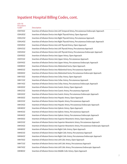| Procedure<br>Code <sup>5</sup> | Description                                                                                    |
|--------------------------------|------------------------------------------------------------------------------------------------|
| 03HT43Z                        | Insertion of Infusion Device into Left Temporal Artery, Percutaneous Endoscopic Approach       |
| 03HU03Z                        | Insertion of Infusion Device into Right Thyroid Artery, Open Approach                          |
| 03HU33Z                        | Insertion of Infusion Device into Right Thyroid Artery, Percutaneous Approach                  |
| 03HU43Z                        | Insertion of Infusion Device into Right Thyroid Artery, Percutaneous Endoscopic Approach       |
| 03HV03Z                        | Insertion of Infusion Device into Left Thyroid Artery, Open Approach                           |
| 03HV33Z                        | Insertion of Infusion Device into Left Thyroid Artery, Percutaneous Approach                   |
| 03HV43Z                        | Insertion of Infusion Device into Left Thyroid Artery, Percutaneous Endoscopic Approach        |
| 03HY03Z                        | Insertion of Infusion Device into Upper Artery, Open Approach                                  |
| 03HY33Z                        | Insertion of Infusion Device into Upper Artery, Percutaneous Approach                          |
| 03HY43Z                        | Insertion of Infusion Device into Upper Artery, Percutaneous Endoscopic Approach               |
| 04H003Z                        | Insertion of Infusion Device into Abdominal Aorta, Open Approach                               |
| 04H033Z                        | Insertion of Infusion Device into Abdominal Aorta, Percutaneous Approach                       |
| 04H043Z                        | Insertion of Infusion Device into Abdominal Aorta, Percutaneous Endoscopic Approach            |
| 04H103Z                        | Insertion of Infusion Device into Celiac Artery, Open Approach                                 |
| 04H133Z                        | Insertion of Infusion Device into Celiac Artery, Percutaneous Approach                         |
| 04H143Z                        | Insertion of Infusion Device into Celiac Artery, Percutaneous Endoscopic Approach              |
| 04H203Z                        | Insertion of Infusion Device into Gastric Artery, Open Approach                                |
| 04H233Z                        | Insertion of Infusion Device into Gastric Artery, Percutaneous Approach                        |
| 04H243Z                        | Insertion of Infusion Device into Gastric Artery, Percutaneous Endoscopic Approach             |
| 04H303Z                        | Insertion of Infusion Device into Hepatic Artery, Open Approach                                |
| 04H333Z                        | Insertion of Infusion Device into Hepatic Artery, Percutaneous Approach                        |
| 04H343Z                        | Insertion of Infusion Device into Hepatic Artery, Percutaneous Endoscopic Approach             |
| 04H403Z                        | Insertion of Infusion Device into Splenic Artery, Open Approach                                |
| 04H433Z                        | Insertion of Infusion Device into Splenic Artery, Percutaneous Approach                        |
| 04H443Z                        | Insertion of Infusion Device into Splenic Artery, Percutaneous Endoscopic Approach             |
| 04H503Z                        | Insertion of Infusion Device into Superior Mesenteric Artery, Open Approach                    |
| 04H533Z                        | Insertion of Infusion Device into Superior Mesenteric Artery, Percutaneous Approach            |
| 04H543Z                        | Insertion of Infusion Device into Superior Mesenteric Artery, Percutaneous Endoscopic Approach |
| 04H603Z                        | Insertion of Infusion Device into Right Colic Artery, Open Approach                            |
| 04H633Z                        | Insertion of Infusion Device into Right Colic Artery, Percutaneous Approach                    |
| 04H643Z                        | Insertion of Infusion Device into Right Colic Artery, Percutaneous Endoscopic Approach         |
| 04H703Z                        | Insertion of Infusion Device into Left Colic Artery, Open Approach                             |
| 04H733Z                        | Insertion of Infusion Device into Left Colic Artery, Percutaneous Approach                     |
| 04H743Z                        | Insertion of Infusion Device into Left Colic Artery, Percutaneous Endoscopic Approach          |
| 04H803Z                        | Insertion of Infusion Device into Middle Colic Artery, Open Approach                           |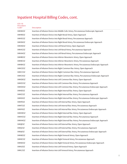| Procedure<br>Code <sup>5</sup> | Description                                                                                     |
|--------------------------------|-------------------------------------------------------------------------------------------------|
| 04H843Z                        | Insertion of Infusion Device into Middle Colic Artery, Percutaneous Endoscopic Approach         |
| 04H903Z                        | Insertion of Infusion Device into Right Renal Artery, Open Approach                             |
| 04H933Z                        | Insertion of Infusion Device into Right Renal Artery, Percutaneous Approach                     |
| 04H943Z                        | Insertion of Infusion Device into Right Renal Artery, Percutaneous Endoscopic Approach          |
| 04HA03Z                        | Insertion of Infusion Device into Left Renal Artery, Open Approach                              |
| 04HA33Z                        | Insertion of Infusion Device into Left Renal Artery, Percutaneous Approach                      |
| 04HA43Z                        | Insertion of Infusion Device into Left Renal Artery, Percutaneous Endoscopic Approach           |
| 04HB03Z                        | Insertion of Infusion Device into Inferior Mesenteric Artery, Open Approach                     |
| 04HB33Z                        | Insertion of Infusion Device into Inferior Mesenteric Artery, Percutaneous Approach             |
| 04HB43Z                        | Insertion of Infusion Device into Inferior Mesenteric Artery, Percutaneous Endoscopic Approach  |
| 04HC03Z                        | Insertion of Infusion Device into Right Common Iliac Artery, Open Approach                      |
| 04HC33Z                        | Insertion of Infusion Device into Right Common Iliac Artery, Percutaneous Approach              |
| 04HC43Z                        | Insertion of Infusion Device into Right Common Iliac Artery, Percutaneous Endoscopic Approach   |
| 04HD03Z                        | Insertion of Infusion Device into Left Common Iliac Artery, Open Approach                       |
| 04HD33Z                        | Insertion of Infusion Device into Left Common Iliac Artery, Percutaneous Approach               |
| 04HD43Z                        | Insertion of Infusion Device into Left Common Iliac Artery, Percutaneous Endoscopic Approach    |
| 04HE03Z                        | Insertion of Infusion Device into Right Internal Iliac Artery, Open Approach                    |
| 04HE33Z                        | Insertion of Infusion Device into Right Internal Iliac Artery, Percutaneous Approach            |
| 04HE43Z                        | Insertion of Infusion Device into Right Internal Iliac Artery, Percutaneous Endoscopic Approach |
| 04HF03Z                        | Insertion of Infusion Device into Left Internal Iliac Artery, Open Approach                     |
| 04HF33Z                        | Insertion of Infusion Device into Left Internal Iliac Artery, Percutaneous Approach             |
| 04HF43Z                        | Insertion of Infusion Device into Left Internal Iliac Artery, Percutaneous Endoscopic Approach  |
| 04HH03Z                        | Insertion of Infusion Device into Right External Iliac Artery, Open Approach                    |
| 04HH33Z                        | Insertion of Infusion Device into Right External Iliac Artery, Percutaneous Approach            |
| 04HH43Z                        | Insertion of Infusion Device into Right External Iliac Artery, Percutaneous Endoscopic Approach |
| 04HJ03Z                        | Insertion of Infusion Device into Left External Iliac Artery, Open Approach                     |
| 04HJ33Z                        | Insertion of Infusion Device into Left External Iliac Artery, Percutaneous Approach             |
| 04HJ43Z                        | Insertion of Infusion Device into Left External Iliac Artery, Percutaneous Endoscopic Approach  |
| 04HK03Z                        | Insertion of Infusion Device into Right Femoral Artery, Open Approach                           |
| 04HK33Z                        | Insertion of Infusion Device into Right Femoral Artery, Percutaneous Approach                   |
| 04HK43Z                        | Insertion of Infusion Device into Right Femoral Artery, Percutaneous Endoscopic Approach        |
| 04HL03Z                        | Insertion of Infusion Device into Left Femoral Artery, Open Approach                            |
| 04HL33Z                        | Insertion of Infusion Device into Left Femoral Artery, Percutaneous Approach                    |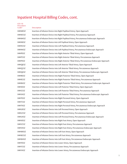| <b>ICD-10</b><br>Procedure<br>Code <sup>5</sup> | Description                                                                                       |
|-------------------------------------------------|---------------------------------------------------------------------------------------------------|
| 04HM03Z                                         | Insertion of Infusion Device into Right Popliteal Artery, Open Approach                           |
| 04HM33Z                                         | Insertion of Infusion Device into Right Popliteal Artery, Percutaneous Approach                   |
| 04HM43Z                                         | Insertion of Infusion Device into Right Popliteal Artery, Percutaneous Endoscopic Approach        |
| 04HN03Z                                         | Insertion of Infusion Device into Left Popliteal Artery, Open Approach                            |
| 04HN33Z                                         | Insertion of Infusion Device into Left Popliteal Artery, Percutaneous Approach                    |
| 04HN43Z                                         | Insertion of Infusion Device into Left Popliteal Artery, Percutaneous Endoscopic Approach         |
| 04HP03Z                                         | Insertion of Infusion Device into Right Anterior Tibial Artery, Open Approach                     |
| 04HP33Z                                         | Insertion of Infusion Device into Right Anterior Tibial Artery, Percutaneous Approach             |
| 04HP43Z                                         | Insertion of Infusion Device into Right Anterior Tibial Artery, Percutaneous Endoscopic Approach  |
| 04HQ03Z                                         | Insertion of Infusion Device into Left Anterior Tibial Artery, Open Approach                      |
| 04HQ33Z                                         | Insertion of Infusion Device into Left Anterior Tibial Artery, Percutaneous Approach              |
| 04HQ43Z                                         | Insertion of Infusion Device into Left Anterior Tibial Artery, Percutaneous Endoscopic Approach   |
| 04HR03Z                                         | Insertion of Infusion Device into Right Posterior Tibial Artery, Open Approach                    |
| 04HR33Z                                         | Insertion of Infusion Device into Right Posterior Tibial Artery, Percutaneous Approach            |
| 04HR43Z                                         | Insertion of Infusion Device into Right Posterior Tibial Artery, Percutaneous Endoscopic Approach |
| 04HS03Z                                         | Insertion of Infusion Device into Left Posterior Tibial Artery, Open Approach                     |
| 04HS33Z                                         | Insertion of Infusion Device into Left Posterior Tibial Artery, Percutaneous Approach             |
| 04HS43Z                                         | Insertion of Infusion Device into Left Posterior Tibial Artery, Percutaneous Endoscopic Approach  |
| 04HT03Z                                         | Insertion of Infusion Device into Right Peroneal Artery, Open Approach                            |
| 04HT33Z                                         | Insertion of Infusion Device into Right Peroneal Artery, Percutaneous Approach                    |
| 04HT43Z                                         | Insertion of Infusion Device into Right Peroneal Artery, Percutaneous Endoscopic Approach         |
| 04HU03Z                                         | Insertion of Infusion Device into Left Peroneal Artery, Open Approach                             |
| 04HU33Z                                         | Insertion of Infusion Device into Left Peroneal Artery, Percutaneous Approach                     |
| 04HU43Z                                         | Insertion of Infusion Device into Left Peroneal Artery, Percutaneous Endoscopic Approach          |
| 04HV03Z                                         | Insertion of Infusion Device into Right Foot Artery, Open Approach                                |
| 04HV33Z                                         | Insertion of Infusion Device into Right Foot Artery, Percutaneous Approach                        |
| 04HV43Z                                         | Insertion of Infusion Device into Right Foot Artery, Percutaneous Endoscopic Approach             |
| 04HW03Z                                         | Insertion of Infusion Device into Left Foot Artery, Open Approach                                 |
| 04HW33Z                                         | Insertion of Infusion Device into Left Foot Artery, Percutaneous Approach                         |
| 04HW43Z                                         | Insertion of Infusion Device into Left Foot Artery, Percutaneous Endoscopic Approach              |
| 04HY03Z                                         | Insertion of Infusion Device into Lower Artery, Open Approach                                     |
| 04HY33Z                                         | Insertion of Infusion Device into Lower Artery, Percutaneous Approach                             |
| 04HY43Z                                         | Insertion of Infusion Device into Lower Artery, Percutaneous Endoscopic Approach                  |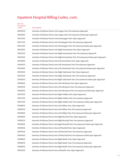| <b>ICD-10</b><br>Procedure<br>Code <sup>5</sup> | Description                                                                               |
|-------------------------------------------------|-------------------------------------------------------------------------------------------|
| 05H033Z                                         | Insertion of Infusion Device into Azygos Vein, Percutaneous Approach                      |
| 05H043Z                                         | Insertion of Infusion Device into Azygos Vein, Percutaneous Endoscopic Approach           |
| 05H103Z                                         | Insertion of Infusion Device into Hemiazygos Vein, Open Approach                          |
| 05H133Z                                         | Insertion of Infusion Device into Hemiazygos Vein, Percutaneous Approach                  |
| 05H143Z                                         | Insertion of Infusion Device into Hemiazygos Vein, Percutaneous Endoscopic Approach       |
| 05H303Z                                         | Insertion of Infusion Device into Right Innominate Vein, Open Approach                    |
| 05H333Z                                         | Insertion of Infusion Device into Right Innominate Vein, Percutaneous Approach            |
| 05H343Z                                         | Insertion of Infusion Device into Right Innominate Vein, Percutaneous Endoscopic Approach |
| 05H403Z                                         | Insertion of Infusion Device into Left Innominate Vein, Open Approach                     |
| 05H433Z                                         | Insertion of Infusion Device into Left Innominate Vein, Percutaneous Approach             |
| 05H443Z                                         | Insertion of Infusion Device into Left Innominate Vein, Percutaneous Endoscopic Approach  |
| 05H503Z                                         | Insertion of Infusion Device into Right Subclavian Vein, Open Approach                    |
| 05H533Z                                         | Insertion of Infusion Device into Right Subclavian Vein, Percutaneous Approach            |
| 05H543Z                                         | Insertion of Infusion Device into Right Subclavian Vein, Percutaneous Endoscopic Approach |
| 05H603Z                                         | Insertion of Infusion Device into Left Subclavian Vein, Open Approach                     |
| 05H633Z                                         | Insertion of Infusion Device into Left Subclavian Vein, Percutaneous Approach             |
| 05H643Z                                         | Insertion of Infusion Device into Left Subclavian Vein, Percutaneous Endoscopic Approach  |
| 05H703Z                                         | Insertion of Infusion Device into Right Axillary Vein, Open Approach                      |
| 05H733Z                                         | Insertion of Infusion Device into Right Axillary Vein, Percutaneous Approach              |
| 05H743Z                                         | Insertion of Infusion Device into Right Axillary Vein, Percutaneous Endoscopic Approach   |
| 05H803Z                                         | Insertion of Infusion Device into Left Axillary Vein, Open Approach                       |
| 05H833Z                                         | Insertion of Infusion Device into Left Axillary Vein, Percutaneous Approach               |
| 05H843Z                                         | Insertion of Infusion Device into Left Axillary Vein, Percutaneous Endoscopic Approach    |
| 05H903Z                                         | Insertion of Infusion Device into Right Brachial Vein, Open Approach                      |
| 05H933Z                                         | Insertion of Infusion Device into Right Brachial Vein, Percutaneous Approach              |
| 05H943Z                                         | Insertion of Infusion Device into Right Brachial Vein, Percutaneous Endoscopic Approach   |
| 05HA03Z                                         | Insertion of Infusion Device into Left Brachial Vein, Open Approach                       |
| 05HA33Z                                         | Insertion of Infusion Device into Left Brachial Vein, Percutaneous Approach               |
| 05HA43Z                                         | Insertion of Infusion Device into Left Brachial Vein, Percutaneous Endoscopic Approach    |
| 05HB03Z                                         | Insertion of Infusion Device into Right Basilic Vein, Open Approach                       |
| 05HB33Z                                         | Insertion of Infusion Device into Right Basilic Vein, Percutaneous Approach               |
| 05HB43Z                                         | Insertion of Infusion Device into Right Basilic Vein, Percutaneous Endoscopic Approach    |
| 05HC03Z                                         | Insertion of Infusion Device into Left Basilic Vein, Open Approach                        |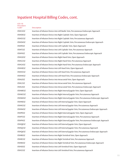| <b>ICD-10</b><br>Procedure<br>Code <sup>5</sup> | Description                                                                                     |
|-------------------------------------------------|-------------------------------------------------------------------------------------------------|
| 05HC43Z                                         | Insertion of Infusion Device into Left Basilic Vein, Percutaneous Endoscopic Approach           |
| 05HD03Z                                         | Insertion of Infusion Device into Right Cephalic Vein, Open Approach                            |
| 05HD33Z                                         | Insertion of Infusion Device into Right Cephalic Vein, Percutaneous Approach                    |
| 05HD43Z                                         | Insertion of Infusion Device into Right Cephalic Vein, Percutaneous Endoscopic Approach         |
| 05HF03Z                                         | Insertion of Infusion Device into Left Cephalic Vein, Open Approach                             |
| 05HF33Z                                         | Insertion of Infusion Device into Left Cephalic Vein, Percutaneous Approach                     |
| 05HF43Z                                         | Insertion of Infusion Device into Left Cephalic Vein, Percutaneous Endoscopic Approach          |
| 05HG03Z                                         | Insertion of Infusion Device into Right Hand Vein, Open Approach                                |
| 05HG33Z                                         | Insertion of Infusion Device into Right Hand Vein, Percutaneous Approach                        |
| 05HG43Z                                         | Insertion of Infusion Device into Right Hand Vein, Percutaneous Endoscopic Approach             |
| 05HH03Z                                         | Insertion of Infusion Device into Left Hand Vein, Open Approach                                 |
| 05HH33Z                                         | Insertion of Infusion Device into Left Hand Vein, Percutaneous Approach                         |
| 05HH43Z                                         | Insertion of Infusion Device into Left Hand Vein, Percutaneous Endoscopic Approach              |
| 05HL03Z                                         | Insertion of Infusion Device into Intracranial Vein, Open Approach                              |
| 05HL33Z                                         | Insertion of Infusion Device into Intracranial Vein, Percutaneous Approach                      |
| 05HL43Z                                         | Insertion of Infusion Device into Intracranial Vein, Percutaneous Endoscopic Approach           |
| 05HM03Z                                         | Insertion of Infusion Device into Right Internal Jugular Vein, Open Approach                    |
| 05HM33Z                                         | Insertion of Infusion Device into Right Internal Jugular Vein, Percutaneous Approach            |
| 05HM43Z                                         | Insertion of Infusion Device into Right Internal Jugular Vein, Percutaneous Endoscopic Approach |
| 05HN03Z                                         | Insertion of Infusion Device into Left Internal Jugular Vein, Open Approach                     |
| 05HN33Z                                         | Insertion of Infusion Device into Left Internal Jugular Vein, Percutaneous Approach             |
| 05HN43Z                                         | Insertion of Infusion Device into Left Internal Jugular Vein, Percutaneous Endoscopic Approach  |
| 05HP03Z                                         | Insertion of Infusion Device into Right External Jugular Vein, Open Approach                    |
| 05HP33Z                                         | Insertion of Infusion Device into Right External Jugular Vein, Percutaneous Approach            |
| 05HP43Z                                         | Insertion of Infusion Device into Right External Jugular Vein, Percutaneous Endoscopic Approach |
| 05HQ03Z                                         | Insertion of Infusion Device into Left External Jugular Vein, Open Approach                     |
| 05HQ33Z                                         | Insertion of Infusion Device into Left External Jugular Vein, Percutaneous Approach             |
| 05HQ43Z                                         | Insertion of Infusion Device into Left External Jugular Vein, Percutaneous Endoscopic Approach  |
| 05HR03Z                                         | Insertion of Infusion Device into Right Vertebral Vein, Open Approach                           |
| 05HR33Z                                         | Insertion of Infusion Device into Right Vertebral Vein, Percutaneous Approach                   |
| 05HR43Z                                         | Insertion of Infusion Device into Right Vertebral Vein, Percutaneous Endoscopic Approach        |
| 05HS03Z                                         | Insertion of Infusion Device into Left Vertebral Vein, Open Approach                            |
| 05HS33Z                                         | Insertion of Infusion Device into Left Vertebral Vein, Percutaneous Approach                    |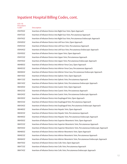| <b>ICD-10</b><br>Procedure<br>Code <sup>5</sup> | Description                                                                                  |
|-------------------------------------------------|----------------------------------------------------------------------------------------------|
| 05HT03Z                                         | Insertion of Infusion Device into Right Face Vein, Open Approach                             |
| 05HT33Z                                         | Insertion of Infusion Device into Right Face Vein, Percutaneous Approach                     |
| 05HT43Z                                         | Insertion of Infusion Device into Right Face Vein, Percutaneous Endoscopic Approach          |
| 05HV03Z                                         | Insertion of Infusion Device into Left Face Vein, Open Approach                              |
| 05HV33Z                                         | Insertion of Infusion Device into Left Face Vein, Percutaneous Approach                      |
| 05HV43Z                                         | Insertion of Infusion Device into Left Face Vein, Percutaneous Endoscopic Approach           |
| 05HY03Z                                         | Insertion of Infusion Device into Upper Vein, Open Approach                                  |
| 05HY33Z                                         | Insertion of Infusion Device into Upper Vein, Percutaneous Approach                          |
| 05HY43Z                                         | Insertion of Infusion Device into Upper Vein, Percutaneous Endoscopic Approach               |
| 06H003Z                                         | Insertion of Infusion Device into Inferior Vena Cava, Open Approach                          |
| 06H033Z                                         | Insertion of Infusion Device into Inferior Vena Cava, Percutaneous Approach                  |
| 06H043Z                                         | Insertion of Infusion Device into Inferior Vena Cava, Percutaneous Endoscopic Approach       |
| 06H103Z                                         | Insertion of Infusion Device into Splenic Vein, Open Approach                                |
| 06H133Z                                         | Insertion of Infusion Device into Splenic Vein, Percutaneous Approach                        |
| 06H143Z                                         | Insertion of Infusion Device into Splenic Vein, Percutaneous Endoscopic Approach             |
| 06H203Z                                         | Insertion of Infusion Device into Gastric Vein, Open Approach                                |
| 06H233Z                                         | Insertion of Infusion Device into Gastric Vein, Percutaneous Approach                        |
| 06H243Z                                         | Insertion of Infusion Device into Gastric Vein, Percutaneous Endoscopic Approach             |
| 06H303Z                                         | Insertion of Infusion Device into Esophageal Vein, Open Approach                             |
| 06H333Z                                         | Insertion of Infusion Device into Esophageal Vein, Percutaneous Approach                     |
| 06H343Z                                         | Insertion of Infusion Device into Esophageal Vein, Percutaneous Endoscopic Approach          |
| 06H403Z                                         | Insertion of Infusion Device into Hepatic Vein, Open Approach                                |
| 06H433Z                                         | Insertion of Infusion Device into Hepatic Vein, Percutaneous Approach                        |
| 06H443Z                                         | Insertion of Infusion Device into Hepatic Vein, Percutaneous Endoscopic Approach             |
| 06H503Z                                         | Insertion of Infusion Device into Superior Mesenteric Vein, Open Approach                    |
| 06H533Z                                         | Insertion of Infusion Device into Superior Mesenteric Vein, Percutaneous Approach            |
| 06H543Z                                         | Insertion of Infusion Device into Superior Mesenteric Vein, Percutaneous Endoscopic Approach |
| 06H603Z                                         | Insertion of Infusion Device into Inferior Mesenteric Vein, Open Approach                    |
| 06H633Z                                         | Insertion of Infusion Device into Inferior Mesenteric Vein, Percutaneous Approach            |
| 06H643Z                                         | Insertion of Infusion Device into Inferior Mesenteric Vein, Percutaneous Endoscopic Approach |
| 06H703Z                                         | Insertion of Infusion Device into Colic Vein, Open Approach                                  |
| 06H733Z                                         | Insertion of Infusion Device into Colic Vein, Percutaneous Approach                          |
| 06H743Z                                         | Insertion of Infusion Device into Colic Vein, Percutaneous Endoscopic Approach               |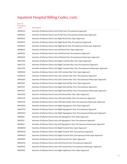| Procedure<br>Code <sup>5</sup> | Description                                                                                   |
|--------------------------------|-----------------------------------------------------------------------------------------------|
| 06H833Z                        | Insertion of Infusion Device into Portal Vein, Percutaneous Approach                          |
| 06H843Z                        | Insertion of Infusion Device into Portal Vein, Percutaneous Endoscopic Approach               |
| 06H903Z                        | Insertion of Infusion Device into Right Renal Vein, Open Approach                             |
| 06H933Z                        | Insertion of Infusion Device into Right Renal Vein, Percutaneous Approach                     |
| 06H943Z                        | Insertion of Infusion Device into Right Renal Vein, Percutaneous Endoscopic Approach          |
| 06HB03Z                        | Insertion of Infusion Device into Left Renal Vein, Open Approach                              |
| 06HB33Z                        | Insertion of Infusion Device into Left Renal Vein, Percutaneous Approach                      |
| 06HB43Z                        | Insertion of Infusion Device into Left Renal Vein, Percutaneous Endoscopic Approach           |
| 06HC03Z                        | Insertion of Infusion Device into Right Common Iliac Vein, Open Approach                      |
| 06HC33Z                        | Insertion of Infusion Device into Right Common Iliac Vein, Percutaneous Approach              |
| 06HC43Z                        | Insertion of Infusion Device into Right Common Iliac Vein, Percutaneous Endoscopic Approach   |
| 06HD03Z                        | Insertion of Infusion Device into Left Common Iliac Vein, Open Approach                       |
| 06HD33Z                        | Insertion of Infusion Device into Left Common Iliac Vein, Percutaneous Approach               |
| 06HD43Z                        | Insertion of Infusion Device into Left Common Iliac Vein, Percutaneous Endoscopic Approach    |
| 06HF03Z                        | Insertion of Infusion Device into Right External Iliac Vein, Open Approach                    |
| 06HF33Z                        | Insertion of Infusion Device into Right External Iliac Vein, Percutaneous Approach            |
| 06HF43Z                        | Insertion of Infusion Device into Right External Iliac Vein, Percutaneous Endoscopic Approach |
| 06HG03Z                        | Insertion of Infusion Device into Left External Iliac Vein, Open Approach                     |
| 06HG33Z                        | Insertion of Infusion Device into Left External Iliac Vein, Percutaneous Approach             |
| 06HG43Z                        | Insertion of Infusion Device into Left External Iliac Vein, Percutaneous Endoscopic Approach  |
| 06HH03Z                        | Insertion of Infusion Device into Right Hypogastric Vein, Open Approach                       |
| 06HH33Z                        | Insertion of Infusion Device into Right Hypogastric Vein, Percutaneous Approach               |
| 06HH43Z                        | Insertion of Infusion Device into Right Hypogastric Vein, Percutaneous Endoscopic Approach    |
| 06HJ03Z                        | Insertion of Infusion Device into Left Hypogastric Vein, Open Approach                        |
| 06HJ33Z                        | Insertion of Infusion Device into Left Hypogastric Vein, Percutaneous Approach                |
| 06HJ43Z                        | Insertion of Infusion Device into Left Hypogastric Vein, Percutaneous Endoscopic Approach     |
| 06HM03Z                        | Insertion of Infusion Device into Right Femoral Vein, Open Approach                           |
| 06HM33Z                        | Insertion of Infusion Device into Right Femoral Vein, Percutaneous Approach                   |
| 06HM43Z                        | Insertion of Infusion Device into Right Femoral Vein, Percutaneous Endoscopic Approach        |
| 06HN03Z                        | Insertion of Infusion Device into Left Femoral Vein, Open Approach                            |
| 06HN33Z                        | Insertion of Infusion Device into Left Femoral Vein, Percutaneous Approach                    |
| 06HN43Z                        | Insertion of Infusion Device into Left Femoral Vein, Percutaneous Endoscopic Approach         |
| 06HP03Z                        | Insertion of Infusion Device into Right Saphenous Vein, Open Approach                         |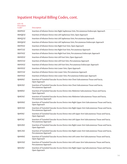| Procedure<br>Code <sup>5</sup> | Description                                                                                                                |
|--------------------------------|----------------------------------------------------------------------------------------------------------------------------|
| 06HP43Z                        | Insertion of Infusion Device into Right Saphenous Vein, Percutaneous Endoscopic Approach                                   |
| 06HQ03Z                        | Insertion of Infusion Device into Left Saphenous Vein, Open Approach                                                       |
| 06HQ33Z                        | Insertion of Infusion Device into Left Saphenous Vein, Percutaneous Approach                                               |
| 06HQ43Z                        | Insertion of Infusion Device into Left Saphenous Vein, Percutaneous Endoscopic Approach                                    |
| 06HT03Z                        | Insertion of Infusion Device into Right Foot Vein, Open Approach                                                           |
| 06HT33Z                        | Insertion of Infusion Device into Right Foot Vein, Percutaneous Approach                                                   |
| 06HT43Z                        | Insertion of Infusion Device into Right Foot Vein, Percutaneous Endoscopic Approach                                        |
| 06HV03Z                        | Insertion of Infusion Device into Left Foot Vein, Open Approach                                                            |
| 06HV33Z                        | Insertion of Infusion Device into Left Foot Vein, Percutaneous Approach                                                    |
| 06HV43Z                        | Insertion of Infusion Device into Left Foot Vein, Percutaneous Endoscopic Approach                                         |
| 06HY03Z                        | Insertion of Infusion Device into Lower Vein, Open Approach                                                                |
| 06HY33Z                        | Insertion of Infusion Device into Lower Vein, Percutaneous Approach                                                        |
| 06HY43Z                        | Insertion of Infusion Device into Lower Vein, Percutaneous Endoscopic Approach                                             |
| 0JH60XZ                        | Insertion of Tunneled Vascular Access Device into Chest Subcutaneous Tissue and Fascia,<br>Open Approach                   |
| 0JH63XZ                        | Insertion of Tunneled Vascular Access Device into Chest Subcutaneous Tissue and Fascia,<br>Percutaneous Approach           |
| 0 H80XZ                        | Insertion of Tunneled Vascular Access Device into Abdomen Subcutaneous Tissue and Fascia,<br>Open Approach                 |
| 0JH83XZ                        | Insertion of Tunneled Vascular Access Device into Abdomen Subcutaneous Tissue and Fascia,<br>Percutaneous Approach         |
| 0JHD0XZ                        | Insertion of Tunneled Vascular Access Device into Right Upper Arm Subcutaneous Tissue and Fascia,<br>Open Approach         |
| 0JHD3XZ                        | Insertion of Tunneled Vascular Access Device into Right Upper Arm Subcutaneous Tissue and Fascia,<br>Percutaneous Approach |
| 0 HF0XZ                        | Insertion of Tunneled Vascular Access Device into Left Upper Arm Subcutaneous Tissue and Fascia,<br>Open Approach          |
| 0JHF3XZ                        | Insertion of Tunneled Vascular Access Device into Left Upper Arm Subcutaneous Tissue and Fascia,<br>Percutaneous Approach  |
| 0JHG0XZ                        | Insertion of Tunneled Vascular Access Device into Right Lower Arm Subcutaneous Tissue and Fascia,<br>Open Approach         |
| 0JHG3XZ                        | Insertion of Tunneled Vascular Access Device into Right Lower Arm Subcutaneous Tissue and Fascia,<br>Percutaneous Approach |
| 0JHH0XZ                        | Insertion of Tunneled Vascular Access Device into Left Lower Arm Subcutaneous Tissue and Fascia,<br>Open Approach          |
| 0JHH3XZ                        | Insertion of Tunneled Vascular Access Device into Left Lower Arm Subcutaneous Tissue and Fascia,<br>Percutaneous Approach  |
| 0JHL0XZ                        | Insertion of Tunneled Vascular Access Device into Right Upper Leg Subcutaneous Tissue and Fascia,<br>Open Approach         |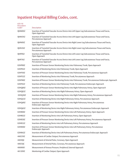| w<br>__ |  |
|---------|--|

| $ICD-10$<br>Procedure<br>Code <sup>5</sup> | <b>Description</b>                                                                                                         |
|--------------------------------------------|----------------------------------------------------------------------------------------------------------------------------|
| 0JHM0XZ                                    | Insertion of Tunneled Vascular Access Device into Left Upper Leg Subcutaneous Tissue and Fascia,<br>Open Approach          |
| 0 HM3XZ                                    | Insertion of Tunneled Vascular Access Device into Left Upper Leg Subcutaneous Tissue and Fascia,<br>Percutaneous Approach  |
| 0JHN0XZ                                    | Insertion of Tunneled Vascular Access Device into Right Lower Leg Subcutaneous Tissue and Fascia,<br>Open Approach         |
| 0JHN3XZ                                    | Insertion of Tunneled Vascular Access Device into Right Lower Leg Subcutaneous Tissue and Fascia,<br>Percutaneous Approach |
| 0JHP0XZ                                    | Insertion of Tunneled Vascular Access Device into Left Lower Leg Subcutaneous Tissue and Fascia,<br>Open Approach          |
| 0JHP3XZ                                    | Insertion of Tunneled Vascular Access Device into Left Lower Leg Subcutaneous Tissue and Fascia,<br>Percutaneous Approach  |
| 02HP00Z                                    | Insertion of Pressure Sensor Monitoring Device into Pulmonary Trunk, Open Approach                                         |
| 02HP02Z                                    | Insertion of Monitoring Device into Pulmonary Trunk, Open Approach                                                         |
| 02HP30Z                                    | Insertion of Pressure Sensor Monitoring Device into Pulmonary Trunk, Percutaneous Approach                                 |
| 02HP32Z                                    | Insertion of Monitoring Device into Pulmonary Trunk, Percutaneous Approach                                                 |
| 02HP40Z                                    | Insertion of Pressure Sensor Monitoring Device into Pulmonary Trunk, Percutaneous Endoscopic Approach                      |
| 02HP42Z                                    | Insertion of Monitoring Device into Pulmonary Trunk, Percutaneous Endoscopic Approach                                      |
| 02HQ00Z                                    | Insertion of Pressure Sensor Monitoring Device into Right Pulmonary Artery, Open Approach                                  |
| 02HQ02Z                                    | Insertion of Monitoring Device into Right Pulmonary Artery, Open Approach                                                  |
| 02HQ30Z                                    | Insertion of Pressure Sensor Monitoring Device into Right Pulmonary Artery, Percutaneous Approach                          |
| 02HQ32Z                                    | Insertion of Monitoring Device into Right Pulmonary Artery, Percutaneous Approach                                          |
| 02HQ40Z                                    | Insertion of Pressure Sensor Monitoring Device into Right Pulmonary Artery, Percutaneous<br>Endoscopic Approach            |
| 02HQ42Z                                    | Insertion of Monitoring Device into Right Pulmonary Artery, Percutaneous Endoscopic Approach                               |
| 02HR00Z                                    | Insertion of Pressure Sensor Monitoring Device into Left Pulmonary Artery, Open Approach                                   |
| 02HR02Z                                    | Insertion of Monitoring Device into Left Pulmonary Artery, Open Approach                                                   |
| 02HR30Z                                    | Insertion of Pressure Sensor Monitoring Device into Left Pulmonary Artery, Percutaneous Approach                           |
| 02HR32Z                                    | Insertion of Monitoring Device into Left Pulmonary Artery, Percutaneous Approach                                           |
| 02HR40Z                                    | Insertion of Pressure Sensor Monitoring Device into Left Pulmonary Artery, Percutaneous<br>Endoscopic Approach             |
| 02HR42Z                                    | Insertion of Monitoring Device into Left Pulmonary Artery, Percutaneous Endoscopic Approach                                |
| 4A0239Z                                    | Measurement of Cardiac Output, Percutaneous Approach                                                                       |
| 4A030JC                                    | Measurement of Arterial Pulse, Coronary, Open Approach                                                                     |
| 4A033JC                                    | Measurement of Arterial Pulse, Coronary, Percutaneous Approach                                                             |
| 4A04XB1                                    | Measurement of Venous Pressure, Peripheral, External Approach                                                              |
| 4A1209Z                                    | Monitoring of Cardiac Output, Open Approach                                                                                |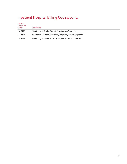| $ICD-10$<br>Procedure<br>Code <sup>5</sup> | <b>Description</b>                                               |
|--------------------------------------------|------------------------------------------------------------------|
| 4A1239Z                                    | Monitoring of Cardiac Output, Percutaneous Approach              |
| 4A13XR1                                    | Monitoring of Arterial Saturation, Peripheral, External Approach |
| 4A14XB1                                    | Monitoring of Venous Pressure, Peripheral, External Approach     |